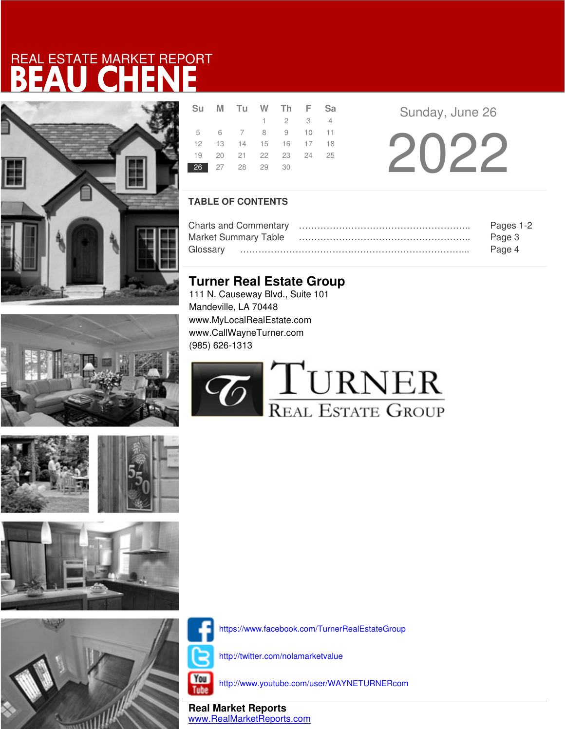







|  | Su M Tu W Th F Sa          |                 |  |  |  |
|--|----------------------------|-----------------|--|--|--|
|  |                            | $1 \t2 \t3 \t4$ |  |  |  |
|  | 5 6 7 8 9 10 11            |                 |  |  |  |
|  | 12  13  14  15  16  17  18 |                 |  |  |  |
|  | 19 20 21 22 23 24 25       |                 |  |  |  |
|  | 26 27 28 29 30             |                 |  |  |  |
|  |                            |                 |  |  |  |

Sunday, June 26

2022

### **TABLE OF CONTENTS**

|                             | Pages 1-2 |
|-----------------------------|-----------|
| <b>Market Summary Table</b> | Page 3    |
| Glossarv                    | Page 4    |

### **Turner Real Estate Group**

111 N. Causeway Blvd., Suite 101 Mandeville, LA 70448 www.MyLocalRealEstate.com www.CallWayneTurner.com (985) 626-1313





https://www.facebook.com/TurnerRealEstateGroup

http://twitter.com/nolamarketvalue

You **Tube** 

http://www.youtube.com/user/WAYNETURNERcom

**Real Market Reports** www.RealMarketReports.com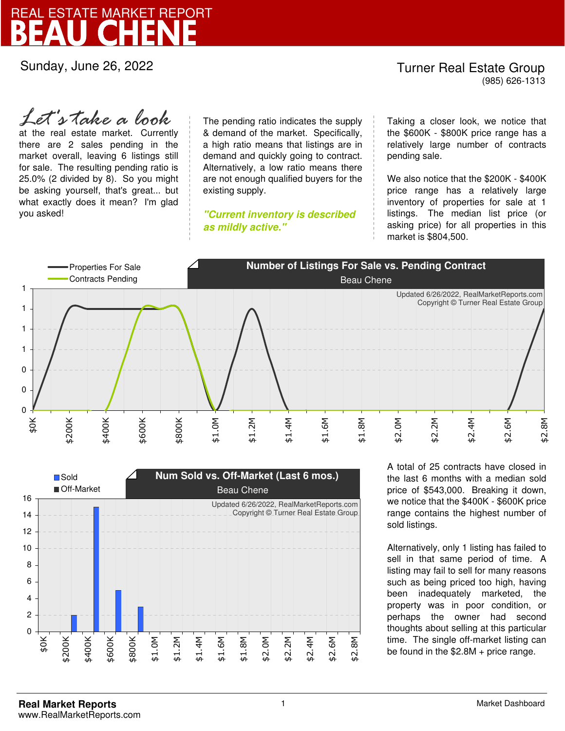Sunday, June 26, 2022

### Turner Real Estate Group (985) 626-1313

at the real estate market. Currently there are 2 sales pending in the market overall, leaving 6 listings still for sale. The resulting pending ratio is 25.0% (2 divided by 8). So you might be asking yourself, that's great... but what exactly does it mean? I'm glad you asked! *Let's take a look*

The pending ratio indicates the supply & demand of the market. Specifically, a high ratio means that listings are in demand and quickly going to contract. Alternatively, a low ratio means there are not enough qualified buyers for the existing supply.

**"Current inventory is described as mildly active."**

Taking a closer look, we notice that the \$600K - \$800K price range has a relatively large number of contracts pending sale.

We also notice that the \$200K - \$400K price range has a relatively large inventory of properties for sale at 1 listings. The median list price (or asking price) for all properties in this market is \$804,500.





A total of 25 contracts have closed in the last 6 months with a median sold price of \$543,000. Breaking it down, we notice that the \$400K - \$600K price range contains the highest number of sold listings.

Alternatively, only 1 listing has failed to sell in that same period of time. A listing may fail to sell for many reasons such as being priced too high, having been inadequately marketed, the property was in poor condition, or perhaps the owner had second thoughts about selling at this particular time. The single off-market listing can be found in the \$2.8M + price range.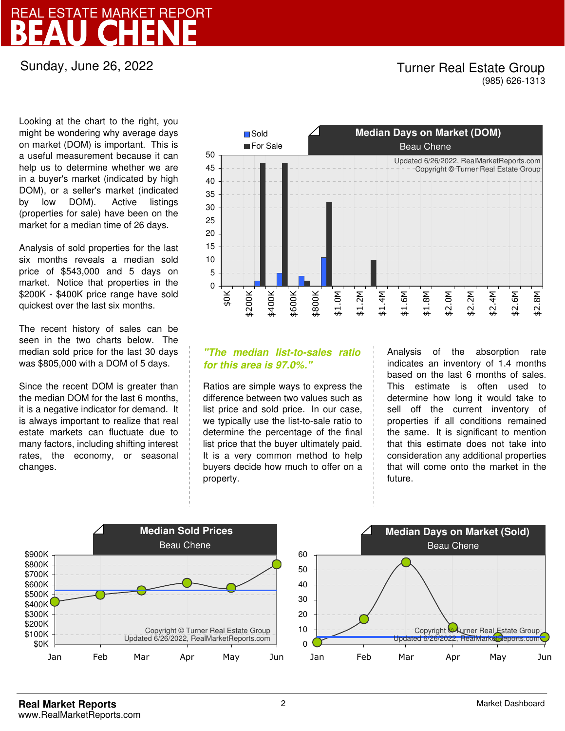Sunday, June 26, 2022

### Turner Real Estate Group (985) 626-1313

Looking at the chart to the right, you might be wondering why average days on market (DOM) is important. This is a useful measurement because it can help us to determine whether we are in a buyer's market (indicated by high DOM), or a seller's market (indicated by low DOM). Active listings (properties for sale) have been on the market for a median time of 26 days.

Analysis of sold properties for the last six months reveals a median sold price of \$543,000 and 5 days on market. Notice that properties in the \$200K - \$400K price range have sold quickest over the last six months.

The recent history of sales can be seen in the two charts below. The median sold price for the last 30 days was \$805,000 with a DOM of 5 days.

Since the recent DOM is greater than the median DOM for the last 6 months, it is a negative indicator for demand. It is always important to realize that real estate markets can fluctuate due to many factors, including shifting interest rates, the economy, or seasonal changes.



### **"The median list-to-sales ratio for this area is 97.0%."**

Ratios are simple ways to express the difference between two values such as list price and sold price. In our case, we typically use the list-to-sale ratio to determine the percentage of the final list price that the buyer ultimately paid. It is a very common method to help buyers decide how much to offer on a property.

Analysis of the absorption rate indicates an inventory of 1.4 months based on the last 6 months of sales. This estimate is often used to determine how long it would take to sell off the current inventory of properties if all conditions remained the same. It is significant to mention that this estimate does not take into consideration any additional properties that will come onto the market in the future.

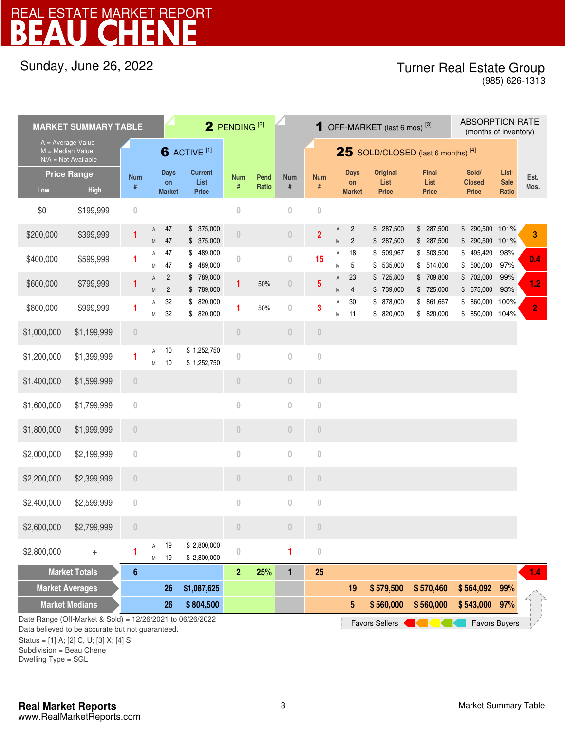### Sunday, June 26, 2022

### Turner Real Estate Group

(985) 626-1313

| <b>MARKET SUMMARY TABLE</b> |                                                                                                                                                             |                  |                | 2 PENDING <sup>[2]</sup>           |                                        |                                 |               |                                 | 1 OFF-MARKET (last 6 mos) <sup>[3]</sup> |                                                                                                                 |                                    |                                  |                                      | <b>ABSORPTION RATE</b><br>(months of inventory) |                               |                |
|-----------------------------|-------------------------------------------------------------------------------------------------------------------------------------------------------------|------------------|----------------|------------------------------------|----------------------------------------|---------------------------------|---------------|---------------------------------|------------------------------------------|-----------------------------------------------------------------------------------------------------------------|------------------------------------|----------------------------------|--------------------------------------|-------------------------------------------------|-------------------------------|----------------|
| M = Median Value            | $A = Average Value$<br>$N/A = Not Available$                                                                                                                |                  |                |                                    | 6 ACTIVE <sup>[1]</sup>                |                                 |               |                                 | 25 SOLD/CLOSED (last 6 months) $^{[4]}$  |                                                                                                                 |                                    |                                  |                                      |                                                 |                               |                |
| Low                         | <b>Price Range</b><br><b>High</b>                                                                                                                           | <b>Num</b><br>#  |                | <b>Days</b><br>on<br><b>Market</b> | <b>Current</b><br>List<br><b>Price</b> | <b>Num</b><br>#                 | Pend<br>Ratio | <b>Num</b><br>#                 | <b>Num</b><br>$\#$                       |                                                                                                                 | <b>Days</b><br>on<br><b>Market</b> | Original<br>List<br><b>Price</b> | <b>Final</b><br>List<br><b>Price</b> | Sold/<br><b>Closed</b><br><b>Price</b>          | List-<br><b>Sale</b><br>Ratio | Est.<br>Mos.   |
| \$0                         | \$199,999                                                                                                                                                   | $\theta$         |                |                                    |                                        | $\mathbf{0}$                    |               | $\theta$                        | $\overline{0}$                           |                                                                                                                 |                                    |                                  |                                      |                                                 |                               |                |
| \$200,000                   | \$399,999                                                                                                                                                   | 1                | A<br>${\sf M}$ | 47<br>47                           | \$375,000<br>\$375,000                 | $\begin{matrix} 0 \end{matrix}$ |               | $\begin{matrix} 0 \end{matrix}$ | $\overline{2}$                           | Α<br>$\mathsf{M}% _{T}=\mathsf{M}_{T}\!\left( a,b\right) ,\ \mathsf{M}_{T}=\mathsf{M}_{T}\!\left( a,b\right) ,$ | $\overline{c}$<br>$\overline{c}$   | \$287,500<br>\$287,500           | \$ 287,500<br>\$287,500              | 290,500 101%<br>\$<br>290,500 101%<br>\$        |                               | 3              |
| \$400,000                   | \$599,999                                                                                                                                                   | 1                | Α<br>M         | 47<br>47                           | \$489,000<br>\$489,000                 | $\mathbf{0}$                    |               | $\theta$                        | 15                                       | Α<br>M                                                                                                          | 18<br>5                            | \$ 509,967<br>\$535,000          | \$503,500<br>\$514,000               | \$<br>495,420<br>500,000<br>\$                  | 98%<br>97%                    | 0.4            |
| \$600,000                   | \$799,999                                                                                                                                                   | 1                | A<br>${\sf M}$ | $\overline{c}$<br>$\overline{2}$   | \$789,000<br>\$789,000                 | 1                               | 50%           | $\theta$                        | $5\phantom{.0}$                          | A<br>M                                                                                                          | 23<br>$\overline{4}$               | \$725,800<br>\$739,000           | \$709,800<br>\$725,000               | \$ 702,000<br>675,000<br>\$                     | 99%<br>93%                    | 1.2            |
| \$800,000                   | \$999,999                                                                                                                                                   | 1                | Α<br>M         | 32<br>32                           | \$820,000<br>\$820,000                 | 1                               | 50%           | $\bf 0$                         | 3                                        | A<br>M                                                                                                          | 30<br>11                           | \$ 878,000<br>\$820,000          | \$ 861,667<br>\$820,000              | 860,000 100%<br>\$<br>\$<br>850,000 104%        |                               | $\overline{2}$ |
| \$1,000,000                 | \$1,199,999                                                                                                                                                 | $\sqrt{a}$       |                |                                    |                                        | $\theta$                        |               | $\overline{0}$                  | $\overline{0}$                           |                                                                                                                 |                                    |                                  |                                      |                                                 |                               |                |
| \$1,200,000                 | \$1,399,999                                                                                                                                                 | 1                | Α<br>M         | 10<br>10                           | \$1,252,750<br>\$1,252,750             | $\mathbf{0}$                    |               | $\bf{0}$                        | $\theta$                                 |                                                                                                                 |                                    |                                  |                                      |                                                 |                               |                |
| \$1,400,000                 | \$1,599,999                                                                                                                                                 | $\sqrt{a}$       |                |                                    |                                        | $\begin{matrix} 0 \end{matrix}$ |               | $\overline{0}$                  | $\overline{0}$                           |                                                                                                                 |                                    |                                  |                                      |                                                 |                               |                |
| \$1,600,000                 | \$1,799,999                                                                                                                                                 | $\mathbf{0}$     |                |                                    |                                        | $\mathbf 0$                     |               | $\overline{0}$                  | $\theta$                                 |                                                                                                                 |                                    |                                  |                                      |                                                 |                               |                |
| \$1,800,000                 | \$1,999,999                                                                                                                                                 | $\sqrt{a}$       |                |                                    |                                        | $\bf 0$                         |               | $\begin{matrix} 0 \end{matrix}$ | $\begin{matrix} 0 \end{matrix}$          |                                                                                                                 |                                    |                                  |                                      |                                                 |                               |                |
| \$2,000,000                 | \$2,199,999                                                                                                                                                 | $\bf 0$          |                |                                    |                                        | $\bf 0$                         |               | $\theta$                        | $\theta$                                 |                                                                                                                 |                                    |                                  |                                      |                                                 |                               |                |
| \$2,200,000                 | \$2,399,999                                                                                                                                                 | $\sqrt{a}$       |                |                                    |                                        | $\theta$                        |               | $\overline{0}$                  | $\begin{matrix} 0 \end{matrix}$          |                                                                                                                 |                                    |                                  |                                      |                                                 |                               |                |
| \$2,400,000                 | \$2,599,999                                                                                                                                                 | $\sqrt{a}$       |                |                                    |                                        | $\bf 0$                         |               | $\theta$                        | $\theta$                                 |                                                                                                                 |                                    |                                  |                                      |                                                 |                               |                |
| \$2,600,000                 | \$2,799,999                                                                                                                                                 | $\Box$           |                |                                    |                                        | $\theta$                        |               | 0                               | $\overline{0}$                           |                                                                                                                 |                                    |                                  |                                      |                                                 |                               |                |
| \$2,800,000                 | $^{+}$                                                                                                                                                      | 1                | Α<br>M         | 19<br>19                           | \$2,800,000<br>\$2,800,000             | $\mathbf 0$                     |               | 1                               | $\,0\,$                                  |                                                                                                                 |                                    |                                  |                                      |                                                 |                               |                |
|                             | <b>Market Totals</b>                                                                                                                                        | $\boldsymbol{6}$ |                |                                    |                                        | $\mathbf{2}$                    | 25%           | 1                               | 25                                       |                                                                                                                 |                                    |                                  |                                      |                                                 |                               | 1.4            |
| <b>Market Averages</b>      |                                                                                                                                                             |                  |                | 26                                 | \$1,087,625                            |                                 |               |                                 |                                          |                                                                                                                 | 19                                 | \$579,500                        | \$570,460                            | \$564,092                                       | 99%                           |                |
|                             | <b>Market Medians</b>                                                                                                                                       |                  |                | 26                                 | \$804,500                              |                                 |               |                                 |                                          |                                                                                                                 | 5                                  | \$560,000                        | \$560,000                            | \$543,000                                       | 97%                           |                |
|                             | Date Range (Off-Market & Sold) = 12/26/2021 to 06/26/2022<br>Data believed to be accurate but not guaranteed.<br>Status = $[11 A: 121 C. 11: 131 X: 141 S]$ |                  |                |                                    |                                        |                                 |               |                                 |                                          |                                                                                                                 |                                    | <b>Favors Sellers</b>            |                                      | <b>Favors Buyers</b>                            |                               |                |

Status = [1] A; [2] C, U; [3] X; [4] S

Subdivision = Beau Chene

Dwelling Type = SGL